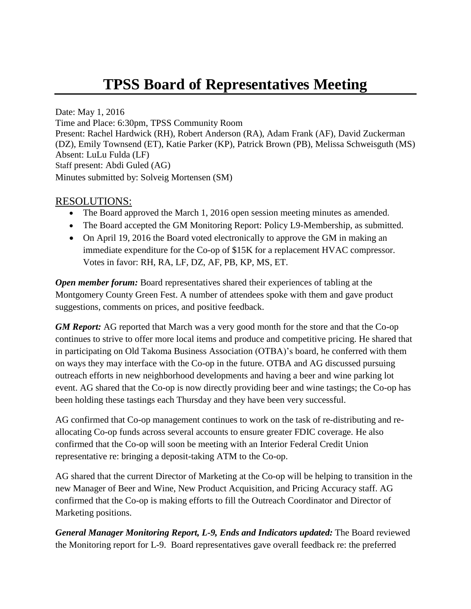## **TPSS Board of Representatives Meeting**

Date: May 1, 2016 Time and Place: 6:30pm, TPSS Community Room Present: Rachel Hardwick (RH), Robert Anderson (RA), Adam Frank (AF), David Zuckerman (DZ), Emily Townsend (ET), Katie Parker (KP), Patrick Brown (PB), Melissa Schweisguth (MS) Absent: LuLu Fulda (LF) Staff present: Abdi Guled (AG) Minutes submitted by: Solveig Mortensen (SM)

## RESOLUTIONS:

- The Board approved the March 1, 2016 open session meeting minutes as amended.
- The Board accepted the GM Monitoring Report: Policy L9-Membership, as submitted.
- On April 19, 2016 the Board voted electronically to approve the GM in making an immediate expenditure for the Co-op of \$15K for a replacement HVAC compressor. Votes in favor: RH, RA, LF, DZ, AF, PB, KP, MS, ET.

*Open member forum:* Board representatives shared their experiences of tabling at the Montgomery County Green Fest. A number of attendees spoke with them and gave product suggestions, comments on prices, and positive feedback.

*GM Report:* AG reported that March was a very good month for the store and that the Co-op continues to strive to offer more local items and produce and competitive pricing. He shared that in participating on Old Takoma Business Association (OTBA)'s board, he conferred with them on ways they may interface with the Co-op in the future. OTBA and AG discussed pursuing outreach efforts in new neighborhood developments and having a beer and wine parking lot event. AG shared that the Co-op is now directly providing beer and wine tastings; the Co-op has been holding these tastings each Thursday and they have been very successful.

AG confirmed that Co-op management continues to work on the task of re-distributing and reallocating Co-op funds across several accounts to ensure greater FDIC coverage. He also confirmed that the Co-op will soon be meeting with an Interior Federal Credit Union representative re: bringing a deposit-taking ATM to the Co-op.

AG shared that the current Director of Marketing at the Co-op will be helping to transition in the new Manager of Beer and Wine, New Product Acquisition, and Pricing Accuracy staff. AG confirmed that the Co-op is making efforts to fill the Outreach Coordinator and Director of Marketing positions.

*General Manager Monitoring Report, L-9, Ends and Indicators updated:* The Board reviewed the Monitoring report for L-9. Board representatives gave overall feedback re: the preferred